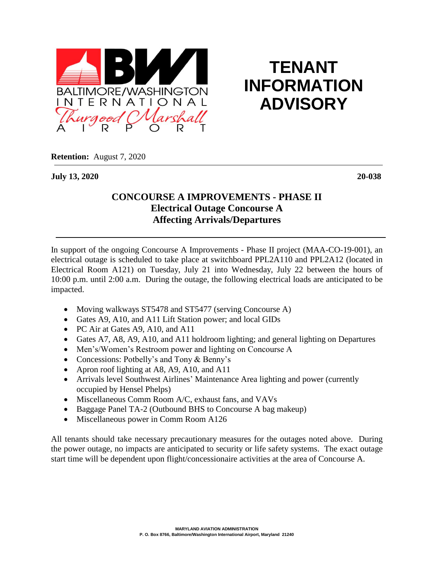

## **TENANT INFORMATION ADVISORY**

**Retention:** August 7, 2020

**July 13, 2020 20-038**

## **CONCOURSE A IMPROVEMENTS - PHASE II Electrical Outage Concourse A Affecting Arrivals/Departures**

In support of the ongoing Concourse A Improvements - Phase II project (MAA-CO-19-001), an electrical outage is scheduled to take place at switchboard PPL2A110 and PPL2A12 (located in Electrical Room A121) on Tuesday, July 21 into Wednesday, July 22 between the hours of 10:00 p.m. until 2:00 a.m. During the outage, the following electrical loads are anticipated to be impacted.

- Moving walkways ST5478 and ST5477 (serving Concourse A)
- Gates A9, A10, and A11 Lift Station power; and local GIDs
- PC Air at Gates A9, A10, and A11
- Gates A7, A8, A9, A10, and A11 holdroom lighting; and general lighting on Departures
- Men's/Women's Restroom power and lighting on Concourse A
- Concessions: Potbelly's and Tony & Benny's
- Apron roof lighting at A8, A9, A10, and A11
- Arrivals level Southwest Airlines' Maintenance Area lighting and power (currently occupied by Hensel Phelps)
- Miscellaneous Comm Room A/C, exhaust fans, and VAVs
- Baggage Panel TA-2 (Outbound BHS to Concourse A bag makeup)
- Miscellaneous power in Comm Room A126

All tenants should take necessary precautionary measures for the outages noted above. During the power outage, no impacts are anticipated to security or life safety systems. The exact outage start time will be dependent upon flight/concessionaire activities at the area of Concourse A.